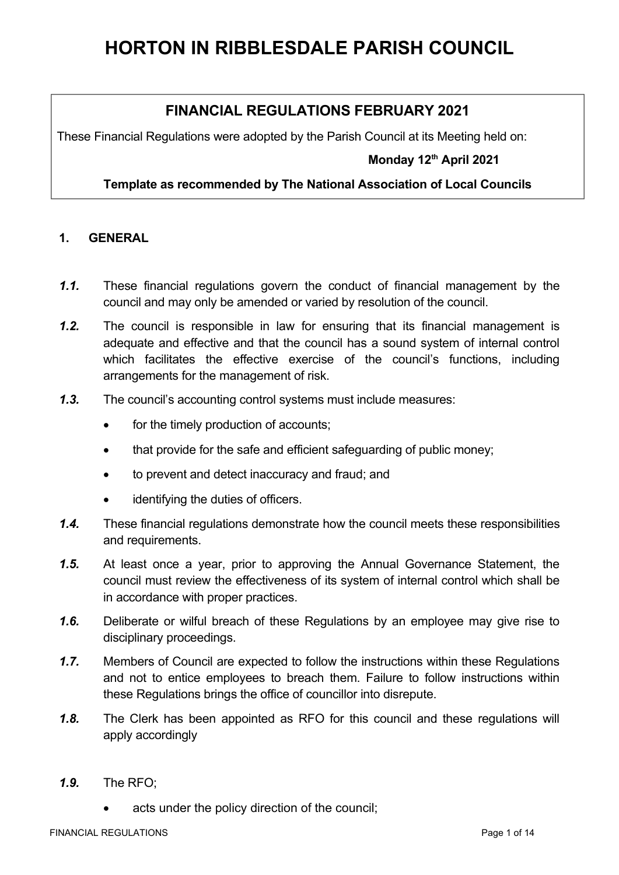# **FINANCIAL REGULATIONS FEBRUARY 2021**

These Financial Regulations were adopted by the Parish Council at its Meeting held on:

## **Monday 12th April 2021**

#### **Template as recommended by The National Association of Local Councils**

#### **1. GENERAL**

- *1.1.* These financial regulations govern the conduct of financial management by the council and may only be amended or varied by resolution of the council.
- *1.2.* The council is responsible in law for ensuring that its financial management is adequate and effective and that the council has a sound system of internal control which facilitates the effective exercise of the council's functions, including arrangements for the management of risk.
- *1.3.* The council's accounting control systems must include measures:
	- for the timely production of accounts;
	- that provide for the safe and efficient safeguarding of public money;
	- to prevent and detect inaccuracy and fraud; and
	- identifying the duties of officers.
- *1.4.* These financial regulations demonstrate how the council meets these responsibilities and requirements.
- *1.5.* At least once a year, prior to approving the Annual Governance Statement, the council must review the effectiveness of its system of internal control which shall be in accordance with proper practices.
- *1.6.* Deliberate or wilful breach of these Regulations by an employee may give rise to disciplinary proceedings.
- *1.7.* Members of Council are expected to follow the instructions within these Regulations and not to entice employees to breach them. Failure to follow instructions within these Regulations brings the office of councillor into disrepute.
- *1.8.* The Clerk has been appointed as RFO for this council and these regulations will apply accordingly
- *1.9.* The RFO;
	- acts under the policy direction of the council;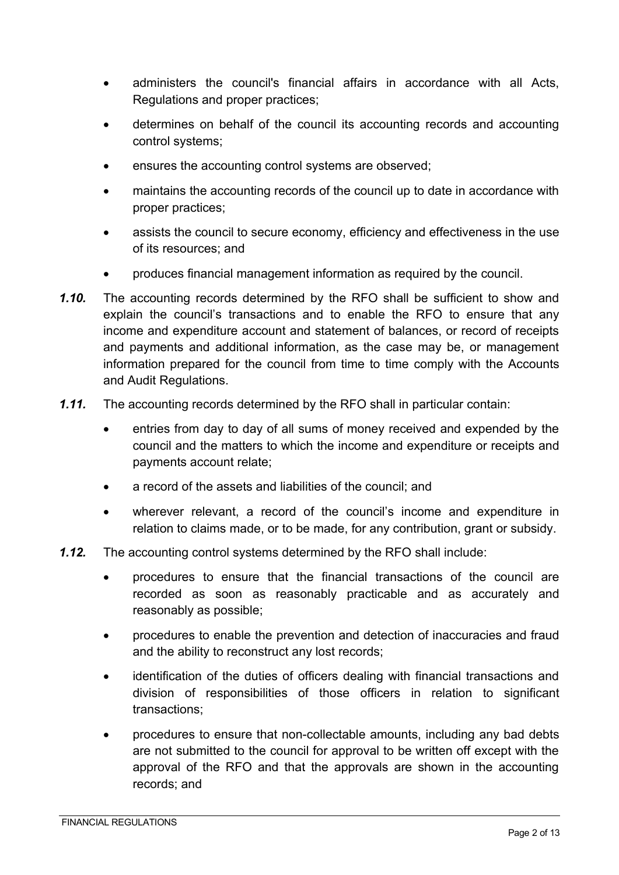- administers the council's financial affairs in accordance with all Acts, Regulations and proper practices;
- determines on behalf of the council its accounting records and accounting control systems;
- ensures the accounting control systems are observed;
- maintains the accounting records of the council up to date in accordance with proper practices;
- assists the council to secure economy, efficiency and effectiveness in the use of its resources; and
- produces financial management information as required by the council.
- *1.10.* The accounting records determined by the RFO shall be sufficient to show and explain the council's transactions and to enable the RFO to ensure that any income and expenditure account and statement of balances, or record of receipts and payments and additional information, as the case may be, or management information prepared for the council from time to time comply with the Accounts and Audit Regulations.
- *1.11.* The accounting records determined by the RFO shall in particular contain:
	- entries from day to day of all sums of money received and expended by the council and the matters to which the income and expenditure or receipts and payments account relate;
	- a record of the assets and liabilities of the council; and
	- wherever relevant, a record of the council's income and expenditure in relation to claims made, or to be made, for any contribution, grant or subsidy.
- *1.12.* The accounting control systems determined by the RFO shall include:
	- procedures to ensure that the financial transactions of the council are recorded as soon as reasonably practicable and as accurately and reasonably as possible;
	- procedures to enable the prevention and detection of inaccuracies and fraud and the ability to reconstruct any lost records;
	- identification of the duties of officers dealing with financial transactions and division of responsibilities of those officers in relation to significant transactions;
	- procedures to ensure that non-collectable amounts, including any bad debts are not submitted to the council for approval to be written off except with the approval of the RFO and that the approvals are shown in the accounting records; and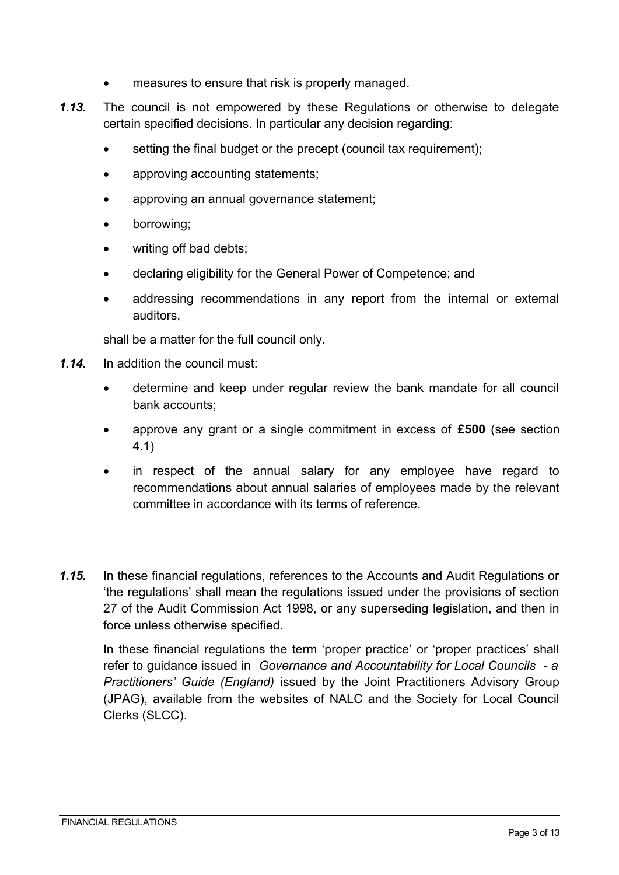- measures to ensure that risk is properly managed.
- *1.13.* The council is not empowered by these Regulations or otherwise to delegate certain specified decisions. In particular any decision regarding:
	- setting the final budget or the precept (council tax requirement);
	- approving accounting statements;
	- approving an annual governance statement;
	- borrowing;
	- writing off bad debts;
	- declaring eligibility for the General Power of Competence; and
	- addressing recommendations in any report from the internal or external auditors,

shall be a matter for the full council only.

- *1.14.* In addition the council must:
	- determine and keep under regular review the bank mandate for all council bank accounts;
	- approve any grant or a single commitment in excess of **£500** (see section 4.1)
	- in respect of the annual salary for any employee have regard to recommendations about annual salaries of employees made by the relevant committee in accordance with its terms of reference.
- *1.15.* In these financial regulations, references to the Accounts and Audit Regulations or 'the regulations' shall mean the regulations issued under the provisions of section 27 of the Audit Commission Act 1998, or any superseding legislation, and then in force unless otherwise specified.

In these financial regulations the term 'proper practice' or 'proper practices' shall refer to guidance issued in *Governance and Accountability for Local Councils - a Practitioners' Guide (England)* issued by the Joint Practitioners Advisory Group (JPAG), available from the websites of NALC and the Society for Local Council Clerks (SLCC).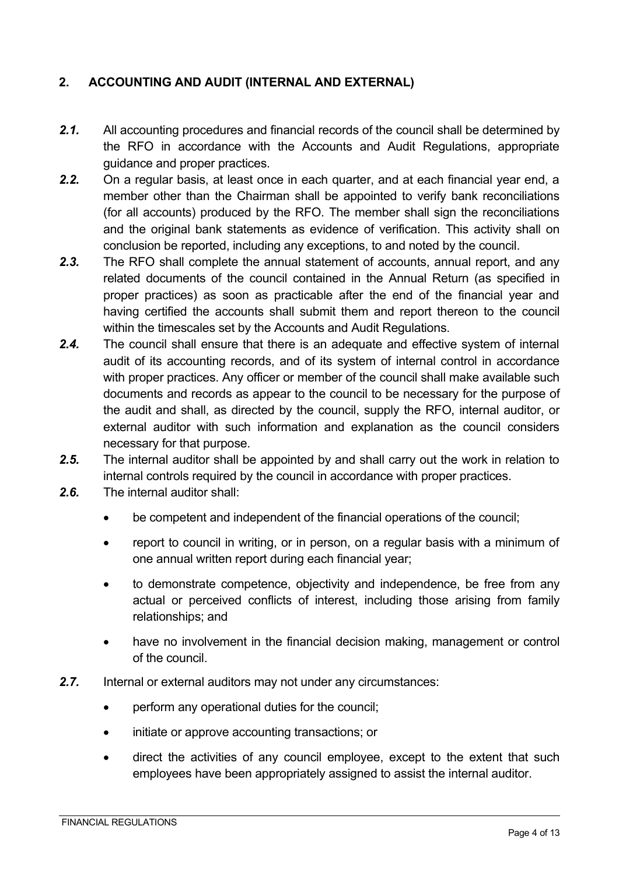## **2. ACCOUNTING AND AUDIT (INTERNAL AND EXTERNAL)**

- *2.1.* All accounting procedures and financial records of the council shall be determined by the RFO in accordance with the Accounts and Audit Regulations, appropriate guidance and proper practices.
- *2.2.* On a regular basis, at least once in each quarter, and at each financial year end, a member other than the Chairman shall be appointed to verify bank reconciliations (for all accounts) produced by the RFO. The member shall sign the reconciliations and the original bank statements as evidence of verification. This activity shall on conclusion be reported, including any exceptions, to and noted by the council.
- *2.3.* The RFO shall complete the annual statement of accounts, annual report, and any related documents of the council contained in the Annual Return (as specified in proper practices) as soon as practicable after the end of the financial year and having certified the accounts shall submit them and report thereon to the council within the timescales set by the Accounts and Audit Regulations.
- *2.4.* The council shall ensure that there is an adequate and effective system of internal audit of its accounting records, and of its system of internal control in accordance with proper practices. Any officer or member of the council shall make available such documents and records as appear to the council to be necessary for the purpose of the audit and shall, as directed by the council, supply the RFO, internal auditor, or external auditor with such information and explanation as the council considers necessary for that purpose.
- *2.5.* The internal auditor shall be appointed by and shall carry out the work in relation to internal controls required by the council in accordance with proper practices.
- *2.6.* The internal auditor shall:
	- be competent and independent of the financial operations of the council;
	- report to council in writing, or in person, on a regular basis with a minimum of one annual written report during each financial year;
	- to demonstrate competence, objectivity and independence, be free from any actual or perceived conflicts of interest, including those arising from family relationships; and
	- have no involvement in the financial decision making, management or control of the council.
- *2.7.* Internal or external auditors may not under any circumstances:
	- perform any operational duties for the council;
	- initiate or approve accounting transactions; or
	- direct the activities of any council employee, except to the extent that such employees have been appropriately assigned to assist the internal auditor.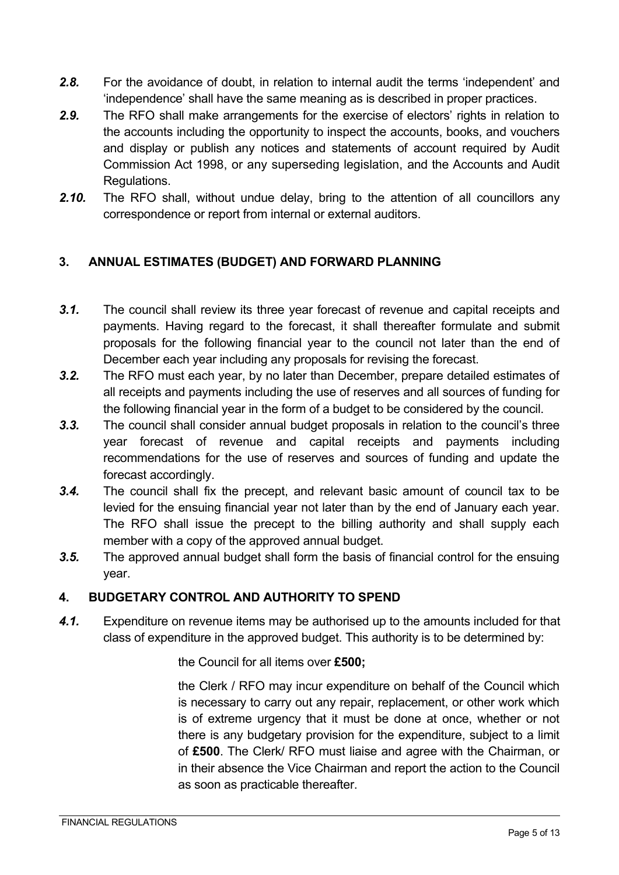- *2.8.* For the avoidance of doubt, in relation to internal audit the terms 'independent' and 'independence' shall have the same meaning as is described in proper practices.
- *2.9.* The RFO shall make arrangements for the exercise of electors' rights in relation to the accounts including the opportunity to inspect the accounts, books, and vouchers and display or publish any notices and statements of account required by Audit Commission Act 1998, or any superseding legislation, and the Accounts and Audit Regulations.
- *2.10.* The RFO shall, without undue delay, bring to the attention of all councillors any correspondence or report from internal or external auditors.

## **3. ANNUAL ESTIMATES (BUDGET) AND FORWARD PLANNING**

- *3.1.* The council shall review its three year forecast of revenue and capital receipts and payments. Having regard to the forecast, it shall thereafter formulate and submit proposals for the following financial year to the council not later than the end of December each year including any proposals for revising the forecast.
- *3.2.* The RFO must each year, by no later than December, prepare detailed estimates of all receipts and payments including the use of reserves and all sources of funding for the following financial year in the form of a budget to be considered by the council.
- *3.3.* The council shall consider annual budget proposals in relation to the council's three year forecast of revenue and capital receipts and payments including recommendations for the use of reserves and sources of funding and update the forecast accordingly.
- *3.4.* The council shall fix the precept, and relevant basic amount of council tax to be levied for the ensuing financial year not later than by the end of January each year. The RFO shall issue the precept to the billing authority and shall supply each member with a copy of the approved annual budget.
- *3.5.* The approved annual budget shall form the basis of financial control for the ensuing year.

## **4. BUDGETARY CONTROL AND AUTHORITY TO SPEND**

*4.1.* Expenditure on revenue items may be authorised up to the amounts included for that class of expenditure in the approved budget. This authority is to be determined by:

the Council for all items over **£500;**

the Clerk / RFO may incur expenditure on behalf of the Council which is necessary to carry out any repair, replacement, or other work which is of extreme urgency that it must be done at once, whether or not there is any budgetary provision for the expenditure, subject to a limit of **£500**. The Clerk/ RFO must liaise and agree with the Chairman, or in their absence the Vice Chairman and report the action to the Council as soon as practicable thereafter.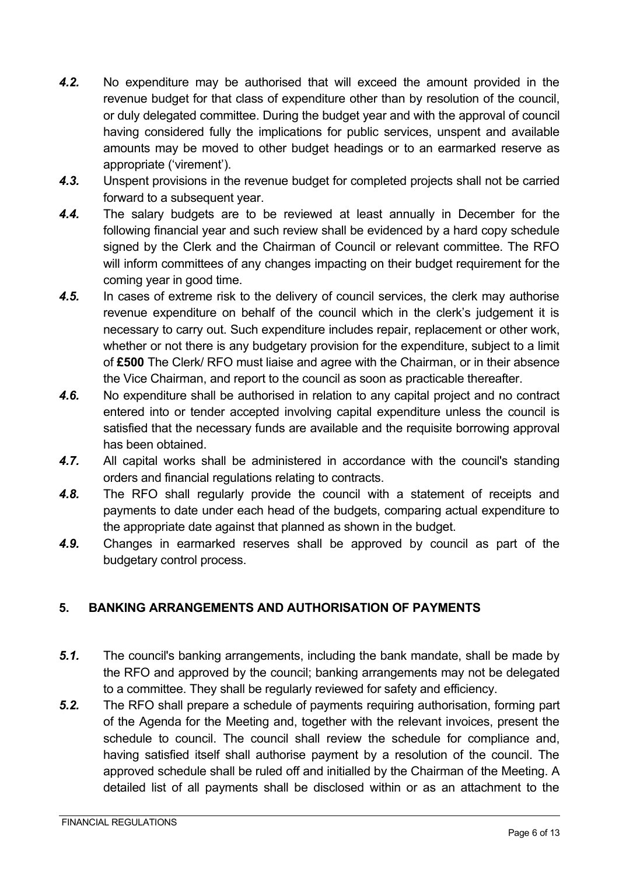- *4.2.* No expenditure may be authorised that will exceed the amount provided in the revenue budget for that class of expenditure other than by resolution of the council, or duly delegated committee. During the budget year and with the approval of council having considered fully the implications for public services, unspent and available amounts may be moved to other budget headings or to an earmarked reserve as appropriate ('virement').
- *4.3.* Unspent provisions in the revenue budget for completed projects shall not be carried forward to a subsequent year.
- *4.4.* The salary budgets are to be reviewed at least annually in December for the following financial year and such review shall be evidenced by a hard copy schedule signed by the Clerk and the Chairman of Council or relevant committee. The RFO will inform committees of any changes impacting on their budget requirement for the coming year in good time.
- *4.5.* In cases of extreme risk to the delivery of council services, the clerk may authorise revenue expenditure on behalf of the council which in the clerk's judgement it is necessary to carry out. Such expenditure includes repair, replacement or other work, whether or not there is any budgetary provision for the expenditure, subject to a limit of **£500** The Clerk/ RFO must liaise and agree with the Chairman, or in their absence the Vice Chairman, and report to the council as soon as practicable thereafter.
- *4.6.* No expenditure shall be authorised in relation to any capital project and no contract entered into or tender accepted involving capital expenditure unless the council is satisfied that the necessary funds are available and the requisite borrowing approval has been obtained.
- *4.7.* All capital works shall be administered in accordance with the council's standing orders and financial regulations relating to contracts.
- *4.8.* The RFO shall regularly provide the council with a statement of receipts and payments to date under each head of the budgets, comparing actual expenditure to the appropriate date against that planned as shown in the budget.
- *4.9.* Changes in earmarked reserves shall be approved by council as part of the budgetary control process.

## **5. BANKING ARRANGEMENTS AND AUTHORISATION OF PAYMENTS**

- *5.1.* The council's banking arrangements, including the bank mandate, shall be made by the RFO and approved by the council; banking arrangements may not be delegated to a committee. They shall be regularly reviewed for safety and efficiency.
- *5.2.* The RFO shall prepare a schedule of payments requiring authorisation, forming part of the Agenda for the Meeting and, together with the relevant invoices, present the schedule to council. The council shall review the schedule for compliance and, having satisfied itself shall authorise payment by a resolution of the council. The approved schedule shall be ruled off and initialled by the Chairman of the Meeting. A detailed list of all payments shall be disclosed within or as an attachment to the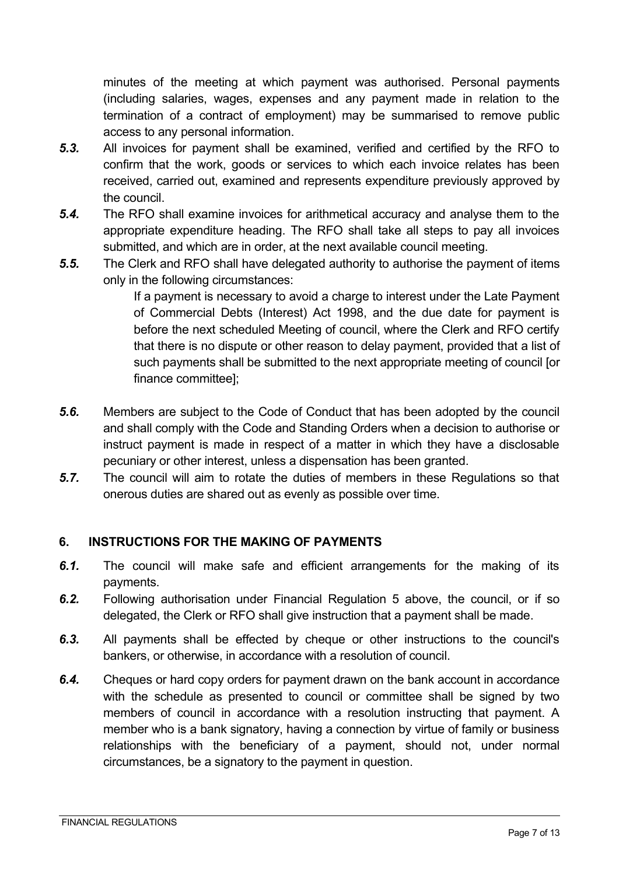minutes of the meeting at which payment was authorised. Personal payments (including salaries, wages, expenses and any payment made in relation to the termination of a contract of employment) may be summarised to remove public access to any personal information.

- *5.3.* All invoices for payment shall be examined, verified and certified by the RFO to confirm that the work, goods or services to which each invoice relates has been received, carried out, examined and represents expenditure previously approved by the council.
- *5.4.* The RFO shall examine invoices for arithmetical accuracy and analyse them to the appropriate expenditure heading. The RFO shall take all steps to pay all invoices submitted, and which are in order, at the next available council meeting.
- *5.5.* The Clerk and RFO shall have delegated authority to authorise the payment of items only in the following circumstances:

If a payment is necessary to avoid a charge to interest under the Late Payment of Commercial Debts (Interest) Act 1998, and the due date for payment is before the next scheduled Meeting of council, where the Clerk and RFO certify that there is no dispute or other reason to delay payment, provided that a list of such payments shall be submitted to the next appropriate meeting of council [or finance committee];

- *5.6.* Members are subject to the Code of Conduct that has been adopted by the council and shall comply with the Code and Standing Orders when a decision to authorise or instruct payment is made in respect of a matter in which they have a disclosable pecuniary or other interest, unless a dispensation has been granted.
- *5.7.* The council will aim to rotate the duties of members in these Regulations so that onerous duties are shared out as evenly as possible over time.

## **6. INSTRUCTIONS FOR THE MAKING OF PAYMENTS**

- *6.1.* The council will make safe and efficient arrangements for the making of its payments.
- *6.2.* Following authorisation under Financial Regulation 5 above, the council, or if so delegated, the Clerk or RFO shall give instruction that a payment shall be made.
- *6.3.* All payments shall be effected by cheque or other instructions to the council's bankers, or otherwise, in accordance with a resolution of council.
- *6.4.* Cheques or hard copy orders for payment drawn on the bank account in accordance with the schedule as presented to council or committee shall be signed by two members of council in accordance with a resolution instructing that payment. A member who is a bank signatory, having a connection by virtue of family or business relationships with the beneficiary of a payment, should not, under normal circumstances, be a signatory to the payment in question.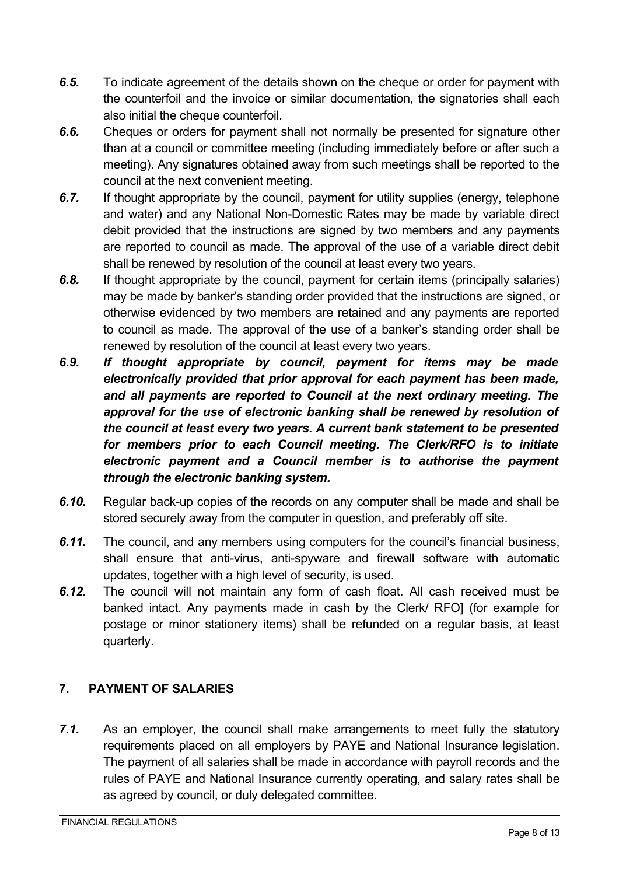- *6.5.* To indicate agreement of the details shown on the cheque or order for payment with the counterfoil and the invoice or similar documentation, the signatories shall each also initial the cheque counterfoil.
- *6.6.* Cheques or orders for payment shall not normally be presented for signature other than at a council or committee meeting (including immediately before or after such a meeting). Any signatures obtained away from such meetings shall be reported to the council at the next convenient meeting.
- *6.7.* If thought appropriate by the council, payment for utility supplies (energy, telephone and water) and any National Non-Domestic Rates may be made by variable direct debit provided that the instructions are signed by two members and any payments are reported to council as made. The approval of the use of a variable direct debit shall be renewed by resolution of the council at least every two years.
- *6.8.* If thought appropriate by the council, payment for certain items (principally salaries) may be made by banker's standing order provided that the instructions are signed, or otherwise evidenced by two members are retained and any payments are reported to council as made. The approval of the use of a banker's standing order shall be renewed by resolution of the council at least every two years.
- *6.9. If thought appropriate by council, payment for items may be made electronically provided that prior approval for each payment has been made, and all payments are reported to Council at the next ordinary meeting. The approval for the use of electronic banking shall be renewed by resolution of the council at least every two years. A current bank statement to be presented for members prior to each Council meeting. The Clerk/RFO is to initiate electronic payment and a Council member is to authorise the payment through the electronic banking system.*
- *6.10.* Regular back-up copies of the records on any computer shall be made and shall be stored securely away from the computer in question, and preferably off site.
- *6.11.* The council, and any members using computers for the council's financial business, shall ensure that anti-virus, anti-spyware and firewall software with automatic updates, together with a high level of security, is used.
- *6.12.* The council will not maintain any form of cash float. All cash received must be banked intact. Any payments made in cash by the Clerk/ RFO] (for example for postage or minor stationery items) shall be refunded on a regular basis, at least quarterly.

# **7. PAYMENT OF SALARIES**

*7.1.* As an employer, the council shall make arrangements to meet fully the statutory requirements placed on all employers by PAYE and National Insurance legislation. The payment of all salaries shall be made in accordance with payroll records and the rules of PAYE and National Insurance currently operating, and salary rates shall be as agreed by council, or duly delegated committee.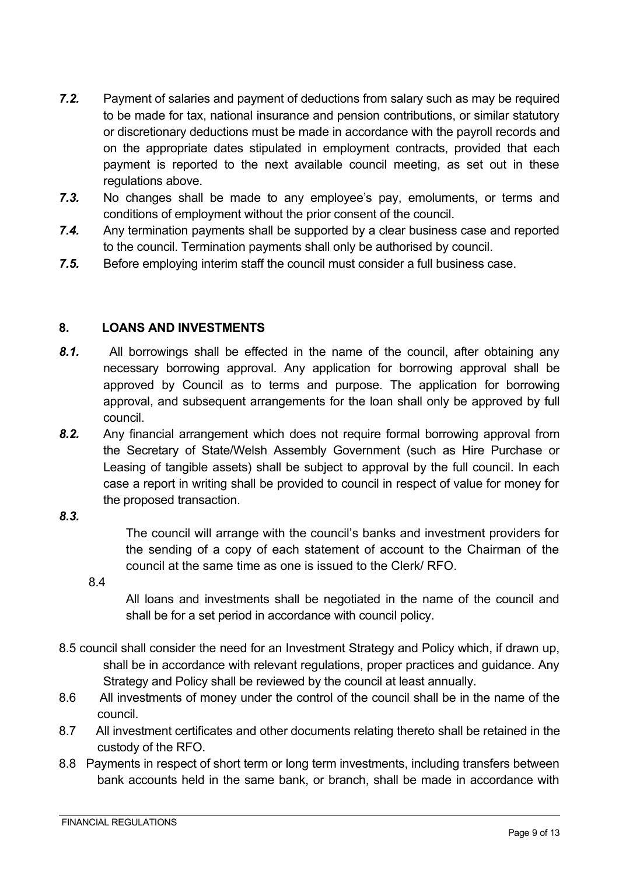- *7.2.* Payment of salaries and payment of deductions from salary such as may be required to be made for tax, national insurance and pension contributions, or similar statutory or discretionary deductions must be made in accordance with the payroll records and on the appropriate dates stipulated in employment contracts, provided that each payment is reported to the next available council meeting, as set out in these regulations above.
- *7.3.* No changes shall be made to any employee's pay, emoluments, or terms and conditions of employment without the prior consent of the council.
- *7.4.* Any termination payments shall be supported by a clear business case and reported to the council. Termination payments shall only be authorised by council.
- *7.5.* Before employing interim staff the council must consider a full business case.

#### **8. LOANS AND INVESTMENTS**

- *8.1.* All borrowings shall be effected in the name of the council, after obtaining any necessary borrowing approval. Any application for borrowing approval shall be approved by Council as to terms and purpose. The application for borrowing approval, and subsequent arrangements for the loan shall only be approved by full council.
- *8.2.* Any financial arrangement which does not require formal borrowing approval from the Secretary of State/Welsh Assembly Government (such as Hire Purchase or Leasing of tangible assets) shall be subject to approval by the full council. In each case a report in writing shall be provided to council in respect of value for money for the proposed transaction.

#### *8.3.*

The council will arrange with the council's banks and investment providers for the sending of a copy of each statement of account to the Chairman of the council at the same time as one is issued to the Clerk/ RFO.

8.4

All loans and investments shall be negotiated in the name of the council and shall be for a set period in accordance with council policy.

- 8.5 council shall consider the need for an Investment Strategy and Policy which, if drawn up, shall be in accordance with relevant regulations, proper practices and guidance. Any Strategy and Policy shall be reviewed by the council at least annually.
- 8.6 All investments of money under the control of the council shall be in the name of the council.
- 8.7 All investment certificates and other documents relating thereto shall be retained in the custody of the RFO.
- 8.8 Payments in respect of short term or long term investments, including transfers between bank accounts held in the same bank, or branch, shall be made in accordance with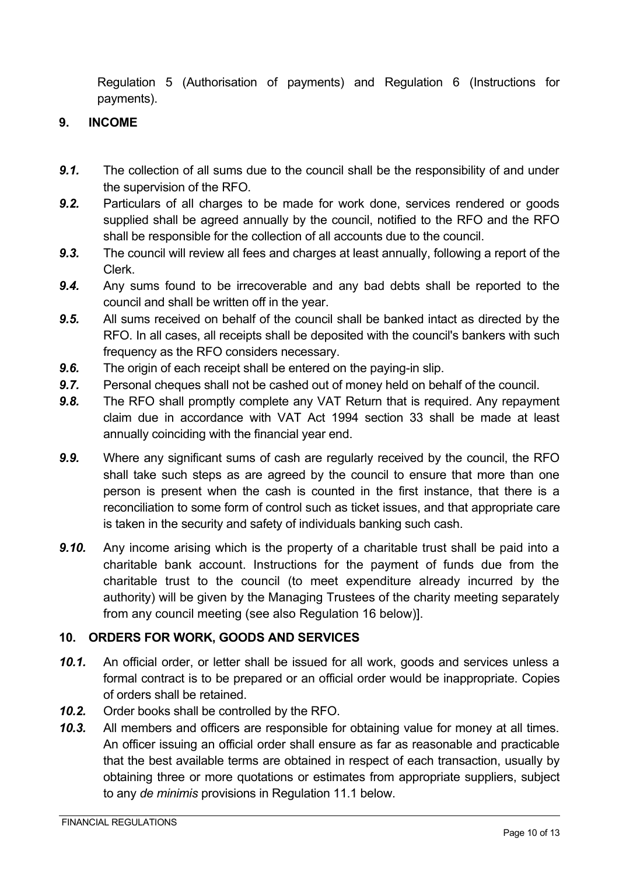Regulation 5 (Authorisation of payments) and Regulation 6 (Instructions for payments).

## **9. INCOME**

- *9.1.* The collection of all sums due to the council shall be the responsibility of and under the supervision of the RFO.
- *9.2.* Particulars of all charges to be made for work done, services rendered or goods supplied shall be agreed annually by the council, notified to the RFO and the RFO shall be responsible for the collection of all accounts due to the council.
- *9.3.* The council will review all fees and charges at least annually, following a report of the Clerk.
- *9.4.* Any sums found to be irrecoverable and any bad debts shall be reported to the council and shall be written off in the year.
- *9.5.* All sums received on behalf of the council shall be banked intact as directed by the RFO. In all cases, all receipts shall be deposited with the council's bankers with such frequency as the RFO considers necessary.
- *9.6.* The origin of each receipt shall be entered on the paying-in slip.
- *9.7.* Personal cheques shall not be cashed out of money held on behalf of the council.
- *9.8.* The RFO shall promptly complete any VAT Return that is required. Any repayment claim due in accordance with VAT Act 1994 section 33 shall be made at least annually coinciding with the financial year end.
- *9.9.* Where any significant sums of cash are regularly received by the council, the RFO shall take such steps as are agreed by the council to ensure that more than one person is present when the cash is counted in the first instance, that there is a reconciliation to some form of control such as ticket issues, and that appropriate care is taken in the security and safety of individuals banking such cash.
- *9.10.* Any income arising which is the property of a charitable trust shall be paid into a charitable bank account. Instructions for the payment of funds due from the charitable trust to the council (to meet expenditure already incurred by the authority) will be given by the Managing Trustees of the charity meeting separately from any council meeting (see also Regulation 16 below)].

## **10. ORDERS FOR WORK, GOODS AND SERVICES**

- *10.1.* An official order, or letter shall be issued for all work, goods and services unless a formal contract is to be prepared or an official order would be inappropriate. Copies of orders shall be retained.
- *10.2.* Order books shall be controlled by the RFO.
- *10.3.* All members and officers are responsible for obtaining value for money at all times. An officer issuing an official order shall ensure as far as reasonable and practicable that the best available terms are obtained in respect of each transaction, usually by obtaining three or more quotations or estimates from appropriate suppliers, subject to any *de minimis* provisions in Regulation 11.1 below.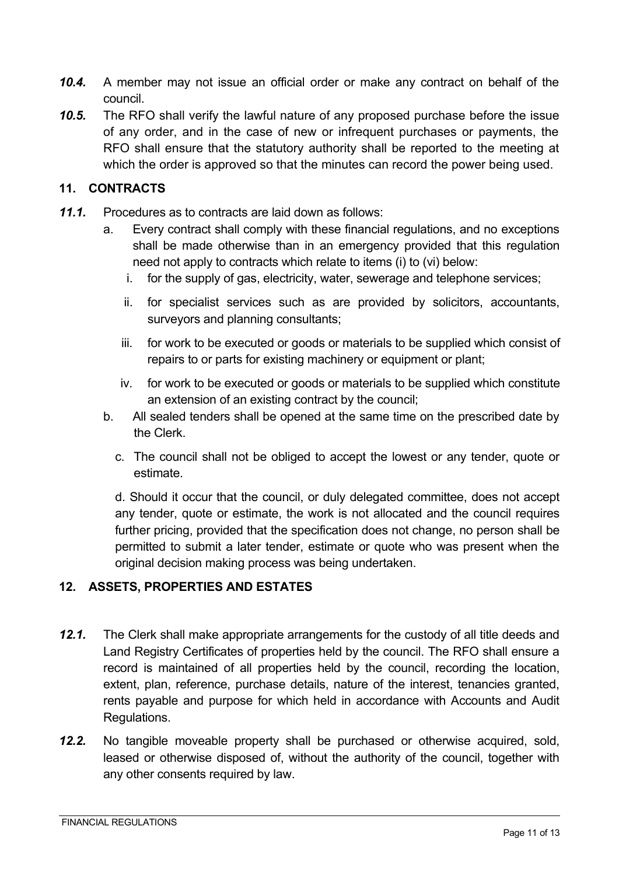- *10.4.* A member may not issue an official order or make any contract on behalf of the council.
- *10.5.* The RFO shall verify the lawful nature of any proposed purchase before the issue of any order, and in the case of new or infrequent purchases or payments, the RFO shall ensure that the statutory authority shall be reported to the meeting at which the order is approved so that the minutes can record the power being used.

#### **11. CONTRACTS**

- *11.1.* Procedures as to contracts are laid down as follows:
	- a. Every contract shall comply with these financial regulations, and no exceptions shall be made otherwise than in an emergency provided that this regulation need not apply to contracts which relate to items (i) to (vi) below:
		- i. for the supply of gas, electricity, water, sewerage and telephone services;
		- ii. for specialist services such as are provided by solicitors, accountants, surveyors and planning consultants;
		- iii. for work to be executed or goods or materials to be supplied which consist of repairs to or parts for existing machinery or equipment or plant;
		- iv. for work to be executed or goods or materials to be supplied which constitute an extension of an existing contract by the council;
	- b. All sealed tenders shall be opened at the same time on the prescribed date by the Clerk.
		- c. The council shall not be obliged to accept the lowest or any tender, quote or estimate.

d. Should it occur that the council, or duly delegated committee, does not accept any tender, quote or estimate, the work is not allocated and the council requires further pricing, provided that the specification does not change, no person shall be permitted to submit a later tender, estimate or quote who was present when the original decision making process was being undertaken.

#### **12. ASSETS, PROPERTIES AND ESTATES**

- *12.1.* The Clerk shall make appropriate arrangements for the custody of all title deeds and Land Registry Certificates of properties held by the council. The RFO shall ensure a record is maintained of all properties held by the council, recording the location, extent, plan, reference, purchase details, nature of the interest, tenancies granted, rents payable and purpose for which held in accordance with Accounts and Audit Regulations.
- *12.2.* No tangible moveable property shall be purchased or otherwise acquired, sold, leased or otherwise disposed of, without the authority of the council, together with any other consents required by law.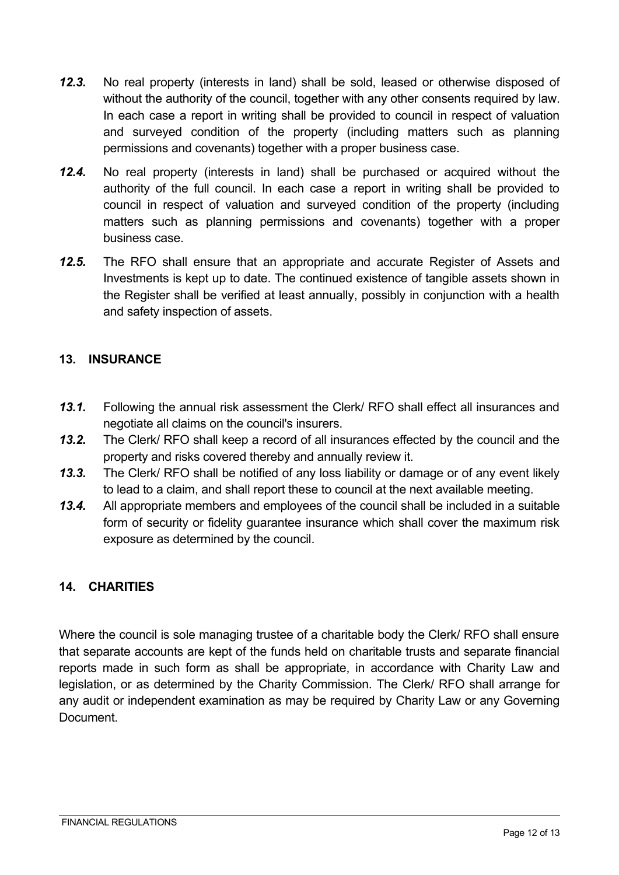- *12.3.* No real property (interests in land) shall be sold, leased or otherwise disposed of without the authority of the council, together with any other consents required by law. In each case a report in writing shall be provided to council in respect of valuation and surveyed condition of the property (including matters such as planning permissions and covenants) together with a proper business case.
- *12.4.* No real property (interests in land) shall be purchased or acquired without the authority of the full council. In each case a report in writing shall be provided to council in respect of valuation and surveyed condition of the property (including matters such as planning permissions and covenants) together with a proper business case.
- *12.5.* The RFO shall ensure that an appropriate and accurate Register of Assets and Investments is kept up to date. The continued existence of tangible assets shown in the Register shall be verified at least annually, possibly in conjunction with a health and safety inspection of assets.

#### **13. INSURANCE**

- *13.1.* Following the annual risk assessment the Clerk/ RFO shall effect all insurances and negotiate all claims on the council's insurers.
- *13.2.* The Clerk/ RFO shall keep a record of all insurances effected by the council and the property and risks covered thereby and annually review it.
- *13.3.* The Clerk/ RFO shall be notified of any loss liability or damage or of any event likely to lead to a claim, and shall report these to council at the next available meeting.
- *13.4.* All appropriate members and employees of the council shall be included in a suitable form of security or fidelity guarantee insurance which shall cover the maximum risk exposure as determined by the council.

## **14. CHARITIES**

Where the council is sole managing trustee of a charitable body the Clerk/ RFO shall ensure that separate accounts are kept of the funds held on charitable trusts and separate financial reports made in such form as shall be appropriate, in accordance with Charity Law and legislation, or as determined by the Charity Commission. The Clerk/ RFO shall arrange for any audit or independent examination as may be required by Charity Law or any Governing Document.